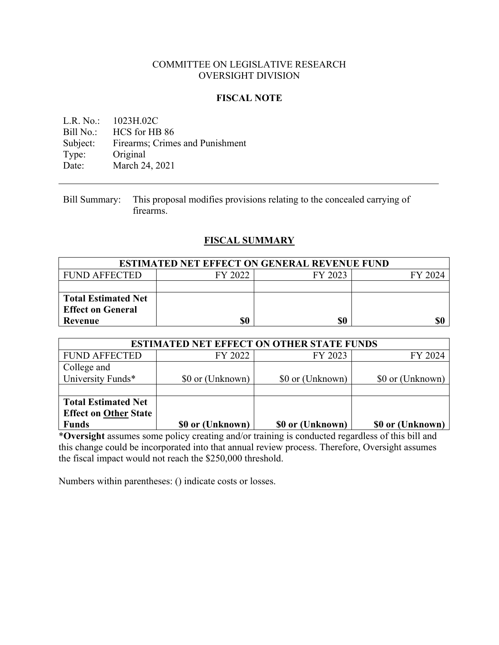#### COMMITTEE ON LEGISLATIVE RESEARCH OVERSIGHT DIVISION

### **FISCAL NOTE**

L.R. No.: 1023H.02C Bill No.: HCS for HB 86 Subject: Firearms; Crimes and Punishment Type: Original Date: March 24, 2021

Bill Summary: This proposal modifies provisions relating to the concealed carrying of firearms.

# **FISCAL SUMMARY**

| <b>ESTIMATED NET EFFECT ON GENERAL REVENUE FUND</b> |         |         |         |
|-----------------------------------------------------|---------|---------|---------|
| <b>FUND AFFECTED</b>                                | FY 2022 | FY 2023 | FY 2024 |
|                                                     |         |         |         |
| <b>Total Estimated Net</b>                          |         |         |         |
| <b>Effect on General</b>                            |         |         |         |
| Revenue                                             | \$0     | \$0     | \$0     |

| <b>ESTIMATED NET EFFECT ON OTHER STATE FUNDS</b>                           |                  |                  |                  |
|----------------------------------------------------------------------------|------------------|------------------|------------------|
| <b>FUND AFFECTED</b>                                                       | FY 2022          | FY 2023          | FY 2024          |
| College and<br>University Funds*                                           | \$0 or (Unknown) | \$0 or (Unknown) | \$0 or (Unknown) |
| <b>Total Estimated Net</b><br><b>Effect on Other State</b><br><b>Funds</b> | \$0 or (Unknown) | \$0 or (Unknown) | \$0 or (Unknown) |

\***Oversight** assumes some policy creating and/or training is conducted regardless of this bill and this change could be incorporated into that annual review process. Therefore, Oversight assumes the fiscal impact would not reach the \$250,000 threshold.

Numbers within parentheses: () indicate costs or losses.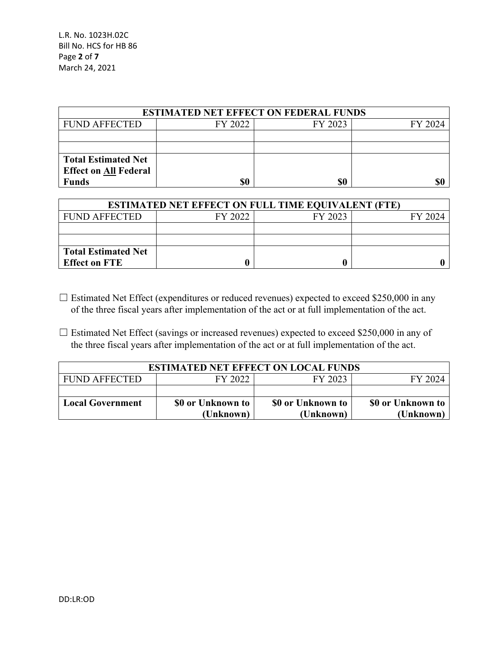L.R. No. 1023H.02C Bill No. HCS for HB 86 Page **2** of **7** March 24, 2021

| <b>ESTIMATED NET EFFECT ON FEDERAL FUNDS</b> |         |         |         |  |
|----------------------------------------------|---------|---------|---------|--|
| <b>FUND AFFECTED</b>                         | FY 2022 | FY 2023 | FY 2024 |  |
|                                              |         |         |         |  |
|                                              |         |         |         |  |
| <b>Total Estimated Net</b>                   |         |         |         |  |
| <b>Effect on All Federal</b>                 |         |         |         |  |
| <b>Funds</b>                                 | \$0     | \$0     |         |  |

| <b>ESTIMATED NET EFFECT ON FULL TIME EQUIVALENT (FTE)</b> |         |         |         |  |
|-----------------------------------------------------------|---------|---------|---------|--|
| <b>FUND AFFECTED</b>                                      | FY 2022 | FY 2023 | FY 2024 |  |
|                                                           |         |         |         |  |
|                                                           |         |         |         |  |
| <b>Total Estimated Net</b>                                |         |         |         |  |
| <b>Effect on FTE</b>                                      |         |         |         |  |

- $\Box$  Estimated Net Effect (expenditures or reduced revenues) expected to exceed \$250,000 in any of the three fiscal years after implementation of the act or at full implementation of the act.
- $\Box$  Estimated Net Effect (savings or increased revenues) expected to exceed \$250,000 in any of the three fiscal years after implementation of the act or at full implementation of the act.

| <b>ESTIMATED NET EFFECT ON LOCAL FUNDS</b> |                   |                   |                   |
|--------------------------------------------|-------------------|-------------------|-------------------|
| <b>FUND AFFECTED</b>                       | FY 2022           | FY 2023           | FY 2024           |
|                                            |                   |                   |                   |
| <b>Local Government</b>                    | \$0 or Unknown to | \$0 or Unknown to | \$0 or Unknown to |
|                                            | (Unknown)         | (Unknown)         | (Unknown)         |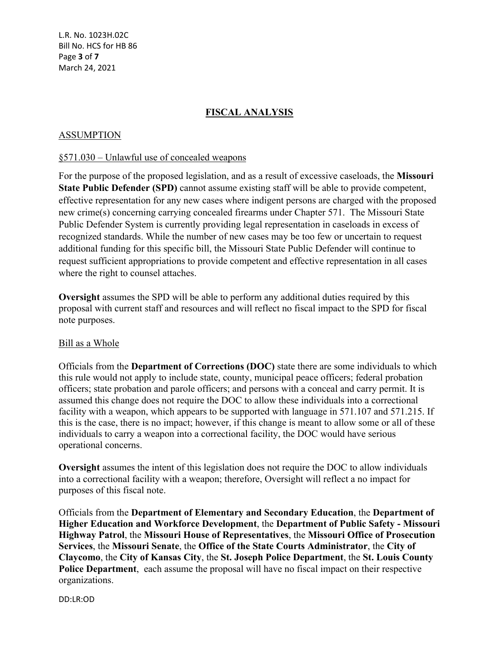L.R. No. 1023H.02C Bill No. HCS for HB 86 Page **3** of **7** March 24, 2021

# **FISCAL ANALYSIS**

#### ASSUMPTION

#### §571.030 – Unlawful use of concealed weapons

For the purpose of the proposed legislation, and as a result of excessive caseloads, the **Missouri State Public Defender (SPD)** cannot assume existing staff will be able to provide competent, effective representation for any new cases where indigent persons are charged with the proposed new crime(s) concerning carrying concealed firearms under Chapter 571. The Missouri State Public Defender System is currently providing legal representation in caseloads in excess of recognized standards. While the number of new cases may be too few or uncertain to request additional funding for this specific bill, the Missouri State Public Defender will continue to request sufficient appropriations to provide competent and effective representation in all cases where the right to counsel attaches.

**Oversight** assumes the SPD will be able to perform any additional duties required by this proposal with current staff and resources and will reflect no fiscal impact to the SPD for fiscal note purposes.

#### Bill as a Whole

Officials from the **Department of Corrections (DOC)** state there are some individuals to which this rule would not apply to include state, county, municipal peace officers; federal probation officers; state probation and parole officers; and persons with a conceal and carry permit. It is assumed this change does not require the DOC to allow these individuals into a correctional facility with a weapon, which appears to be supported with language in 571.107 and 571.215. If this is the case, there is no impact; however, if this change is meant to allow some or all of these individuals to carry a weapon into a correctional facility, the DOC would have serious operational concerns.

**Oversight** assumes the intent of this legislation does not require the DOC to allow individuals into a correctional facility with a weapon; therefore, Oversight will reflect a no impact for purposes of this fiscal note.

Officials from the **Department of Elementary and Secondary Education**, the **Department of Higher Education and Workforce Development**, the **Department of Public Safety - Missouri Highway Patrol**, the **Missouri House of Representatives**, the **Missouri Office of Prosecution Services**, the **Missouri Senate**, the **Office of the State Courts Administrator**, the **City of Claycomo**, the **City of Kansas City**, the **St. Joseph Police Department**, the **St. Louis County Police Department**, each assume the proposal will have no fiscal impact on their respective organizations.

DD:LR:OD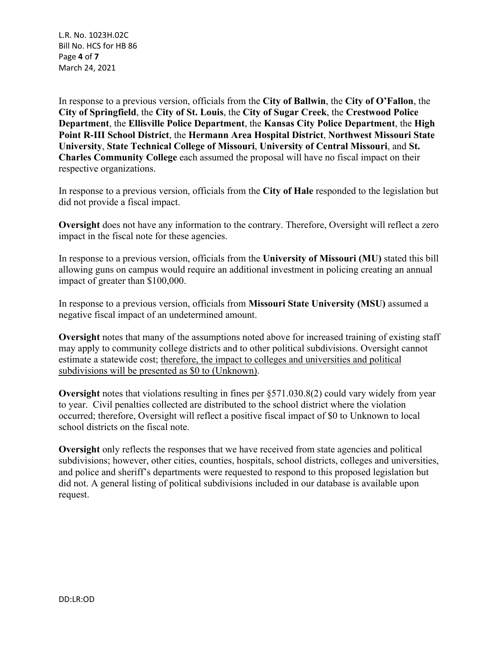L.R. No. 1023H.02C Bill No. HCS for HB 86 Page **4** of **7** March 24, 2021

In response to a previous version, officials from the **City of Ballwin**, the **City of O'Fallon**, the **City of Springfield**, the **City of St. Louis**, the **City of Sugar Creek**, the **Crestwood Police Department**, the **Ellisville Police Department**, the **Kansas City Police Department**, the **High Point R-III School District**, the **Hermann Area Hospital District**, **Northwest Missouri State University**, **State Technical College of Missouri**, **University of Central Missouri**, and **St. Charles Community College** each assumed the proposal will have no fiscal impact on their respective organizations.

In response to a previous version, officials from the **City of Hale** responded to the legislation but did not provide a fiscal impact.

**Oversight** does not have any information to the contrary. Therefore, Oversight will reflect a zero impact in the fiscal note for these agencies.

In response to a previous version, officials from the **University of Missouri (MU)** stated this bill allowing guns on campus would require an additional investment in policing creating an annual impact of greater than \$100,000.

In response to a previous version, officials from **Missouri State University (MSU)** assumed a negative fiscal impact of an undetermined amount.

**Oversight** notes that many of the assumptions noted above for increased training of existing staff may apply to community college districts and to other political subdivisions. Oversight cannot estimate a statewide cost; therefore, the impact to colleges and universities and political subdivisions will be presented as \$0 to (Unknown).

**Oversight** notes that violations resulting in fines per §571.030.8(2) could vary widely from year to year. Civil penalties collected are distributed to the school district where the violation occurred; therefore, Oversight will reflect a positive fiscal impact of \$0 to Unknown to local school districts on the fiscal note.

**Oversight** only reflects the responses that we have received from state agencies and political subdivisions; however, other cities, counties, hospitals, school districts, colleges and universities, and police and sheriff's departments were requested to respond to this proposed legislation but did not. A general listing of political subdivisions included in our database is available upon request.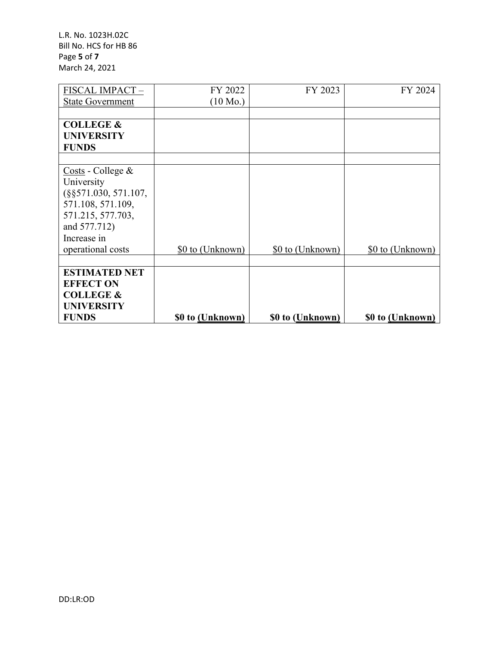L.R. No. 1023H.02C Bill No. HCS for HB 86 Page **5** of **7** March 24, 2021

| FISCAL IMPACT-                                                                                                                                                                                                                                                                                                                                                                                                                                                                                | FY 2022            | FY 2023          | FY 2024          |
|-----------------------------------------------------------------------------------------------------------------------------------------------------------------------------------------------------------------------------------------------------------------------------------------------------------------------------------------------------------------------------------------------------------------------------------------------------------------------------------------------|--------------------|------------------|------------------|
| <b>State Government</b>                                                                                                                                                                                                                                                                                                                                                                                                                                                                       | $(10 \text{ Mo.})$ |                  |                  |
|                                                                                                                                                                                                                                                                                                                                                                                                                                                                                               |                    |                  |                  |
| <b>COLLEGE &amp;</b>                                                                                                                                                                                                                                                                                                                                                                                                                                                                          |                    |                  |                  |
| <b>UNIVERSITY</b>                                                                                                                                                                                                                                                                                                                                                                                                                                                                             |                    |                  |                  |
| <b>FUNDS</b>                                                                                                                                                                                                                                                                                                                                                                                                                                                                                  |                    |                  |                  |
|                                                                                                                                                                                                                                                                                                                                                                                                                                                                                               |                    |                  |                  |
| $\frac{\text{Costs}}{\text{C} \cdot \text{C} \cdot \text{C} \cdot \text{C} \cdot \text{C} \cdot \text{C} \cdot \text{C} \cdot \text{C} \cdot \text{C} \cdot \text{C} \cdot \text{C} \cdot \text{C} \cdot \text{C} \cdot \text{C} \cdot \text{C} \cdot \text{C} \cdot \text{C} \cdot \text{C} \cdot \text{C} \cdot \text{C} \cdot \text{C} \cdot \text{C} \cdot \text{C} \cdot \text{C} \cdot \text{C} \cdot \text{C} \cdot \text{C} \cdot \text{C} \cdot \text{C} \cdot \text{C} \cdot \text$ |                    |                  |                  |
| University                                                                                                                                                                                                                                                                                                                                                                                                                                                                                    |                    |                  |                  |
| $(\$§571.030, 571.107,$                                                                                                                                                                                                                                                                                                                                                                                                                                                                       |                    |                  |                  |
| 571.108, 571.109,                                                                                                                                                                                                                                                                                                                                                                                                                                                                             |                    |                  |                  |
| 571.215, 577.703,                                                                                                                                                                                                                                                                                                                                                                                                                                                                             |                    |                  |                  |
| and 577.712)                                                                                                                                                                                                                                                                                                                                                                                                                                                                                  |                    |                  |                  |
| Increase in                                                                                                                                                                                                                                                                                                                                                                                                                                                                                   |                    |                  |                  |
| operational costs                                                                                                                                                                                                                                                                                                                                                                                                                                                                             | \$0 to (Unknown)   | \$0 to (Unknown) | \$0 to (Unknown) |
|                                                                                                                                                                                                                                                                                                                                                                                                                                                                                               |                    |                  |                  |
| <b>ESTIMATED NET</b>                                                                                                                                                                                                                                                                                                                                                                                                                                                                          |                    |                  |                  |
| <b>EFFECT ON</b>                                                                                                                                                                                                                                                                                                                                                                                                                                                                              |                    |                  |                  |
| <b>COLLEGE &amp;</b>                                                                                                                                                                                                                                                                                                                                                                                                                                                                          |                    |                  |                  |
| <b>UNIVERSITY</b>                                                                                                                                                                                                                                                                                                                                                                                                                                                                             |                    |                  |                  |
| <b>FUNDS</b>                                                                                                                                                                                                                                                                                                                                                                                                                                                                                  | \$0 to (Unknown)   | \$0 to (Unknown) | \$0 to (Unknown) |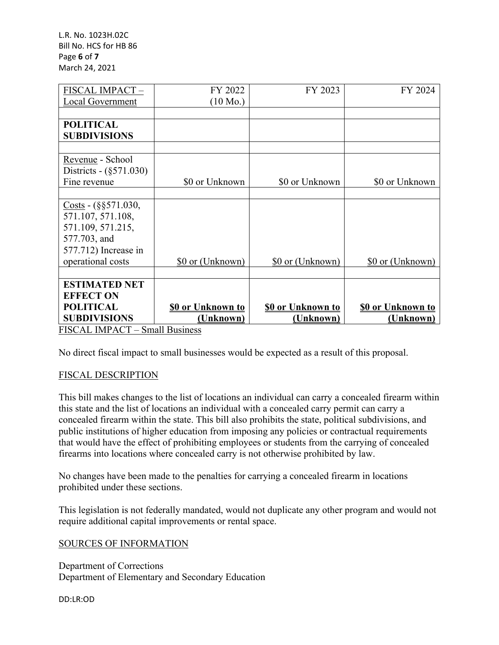L.R. No. 1023H.02C Bill No. HCS for HB 86 Page **6** of **7** March 24, 2021

| FISCAL IMPACT-                 | FY 2022                  | FY 2023                  | FY 2024                  |
|--------------------------------|--------------------------|--------------------------|--------------------------|
| <b>Local Government</b>        | $(10 \text{ Mo.})$       |                          |                          |
|                                |                          |                          |                          |
| <b>POLITICAL</b>               |                          |                          |                          |
| <b>SUBDIVISIONS</b>            |                          |                          |                          |
|                                |                          |                          |                          |
| Revenue - School               |                          |                          |                          |
| Districts - (§571.030)         |                          |                          |                          |
| Fine revenue                   | \$0 or Unknown           | \$0 or Unknown           | \$0 or Unknown           |
|                                |                          |                          |                          |
| Costs - $(\S$ §571.030,        |                          |                          |                          |
| 571.107, 571.108,              |                          |                          |                          |
| 571.109, 571.215,              |                          |                          |                          |
| 577.703, and                   |                          |                          |                          |
| 577.712) Increase in           |                          |                          |                          |
| operational costs              | \$0 or (Unknown)         | \$0 or (Unknown)         | \$0 or (Unknown)         |
|                                |                          |                          |                          |
| <b>ESTIMATED NET</b>           |                          |                          |                          |
| <b>EFFECT ON</b>               |                          |                          |                          |
| <b>POLITICAL</b>               | <b>\$0 or Unknown to</b> | <b>\$0 or Unknown to</b> | <b>\$0 or Unknown to</b> |
| <b>SUBDIVISIONS</b>            | (Unknown)                | (Unknown)                | (Unknown)                |
| FISCAL IMPACT - Small Business |                          |                          |                          |

No direct fiscal impact to small businesses would be expected as a result of this proposal.

# FISCAL DESCRIPTION

This bill makes changes to the list of locations an individual can carry a concealed firearm within this state and the list of locations an individual with a concealed carry permit can carry a concealed firearm within the state. This bill also prohibits the state, political subdivisions, and public institutions of higher education from imposing any policies or contractual requirements that would have the effect of prohibiting employees or students from the carrying of concealed firearms into locations where concealed carry is not otherwise prohibited by law.

No changes have been made to the penalties for carrying a concealed firearm in locations prohibited under these sections.

This legislation is not federally mandated, would not duplicate any other program and would not require additional capital improvements or rental space.

#### SOURCES OF INFORMATION

Department of Corrections Department of Elementary and Secondary Education

DD:LR:OD